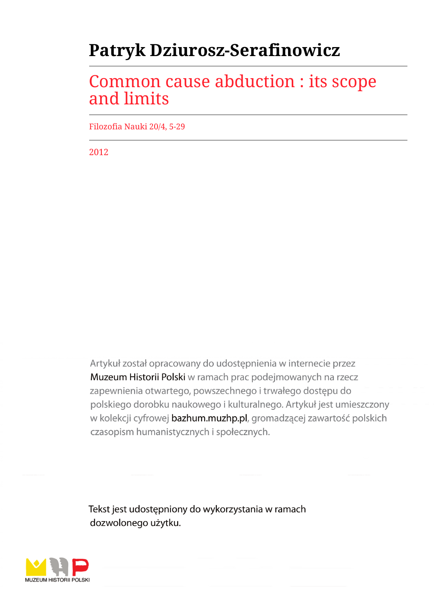# **Patryk Dziurosz-Serafinowicz**

## Common cause abduction : its scope and limits

Filozofia Nauki 20/4, 5-29

2012

Artykuł został opracowany do udostępnienia w internecie przez Muzeum Historii Polski w ramach prac podejmowanych na rzecz zapewnienia otwartego, powszechnego i trwałego dostępu do polskiego dorobku naukowego i kulturalnego. Artykuł jest umieszczony w kolekcji cyfrowej bazhum.muzhp.pl, gromadzącej zawartość polskich czasopism humanistycznych i społecznych.

Tekst jest udostępniony do wykorzystania w ramach dozwolonego użytku.

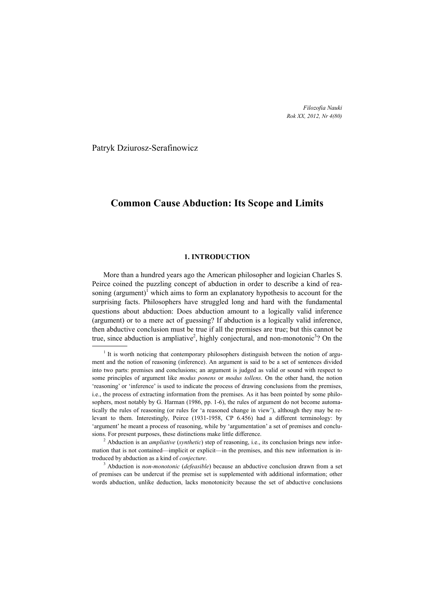*Filozofia Nauki Rok XX, 2012, Nr 4(80)*

Patryk Dziurosz-Serafinowicz

## **Common Cause Abduction: Its Scope and Limits**

#### **1. INTRODUCTION**

More than a hundred years ago the American philosopher and logician Charles S. Peirce coined the puzzling concept of abduction in order to describe a kind of reasoning (argument)<sup>1</sup> which aims to form an explanatory hypothesis to account for the surprising facts. Philosophers have struggled long and hard with the fundamental questions about abduction: Does abduction amount to a logically valid inference (argument) or to a mere act of guessing? If abduction is a logically valid inference, then abductive conclusion must be true if all the premises are true; but this cannot be true, since abduction is ampliative<sup>2</sup>, highly conjectural, and non-monotonic<sup>3</sup>? On the

 $1$  It is worth noticing that contemporary philosophers distinguish between the notion of argument and the notion of reasoning (inference). An argument is said to be a set of sentences divided into two parts: premises and conclusions; an argument is judged as valid or sound with respect to some principles of argument like *modus ponens* or *modus tollens*. On the other hand, the notion 'reasoning' or 'inference' is used to indicate the process of drawing conclusions from the premises, i.e., the process of extracting information from the premises. As it has been pointed by some philosophers, most notably by G. Harman (1986, pp. 1-6), the rules of argument do not become automatically the rules of reasoning (or rules for 'a reasoned change in view'), although they may be relevant to them. Interestingly, Peirce (1931-1958, CP 6.456) had a different terminology: by 'argument' he meant a process of reasoning, while by 'argumentation' a set of premises and conclusions. For present purposes, these distinctions make little difference.

<sup>2</sup> Abduction is an *ampliative* (*synthetic*) step of reasoning, i.e., its conclusion brings new information that is not contained—implicit or explicit—in the premises, and this new information is introduced by abduction as a kind of *conjecture*.

<sup>3</sup> Abduction is *non-monotonic* (*defeasible*) because an abductive conclusion drawn from a set of premises can be undercut if the premise set is supplemented with additional information; other words abduction, unlike deduction, lacks monotonicity because the set of abductive conclusions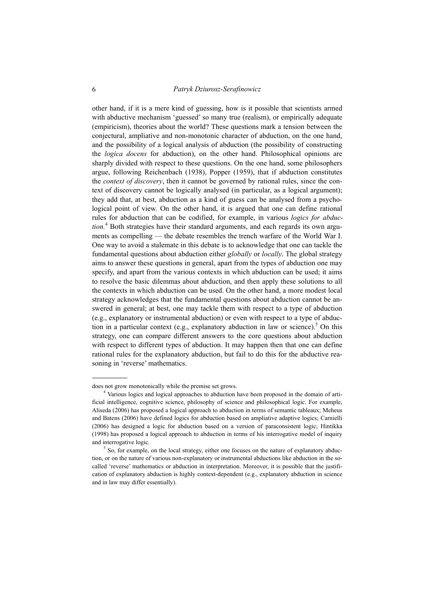other hand, if it is a mere kind of guessing, how is it possible that scientists armed with abductive mechanism 'guessed' so many true (realism), or empirically adequate (empiricism), theories about the world? These questions mark a tension between the conjectural, ampliative and non-monotonic character of abduction, on the one hand, and the possibility of a logical analysis of abduction (the possibility of constructing the *logica docens* for abduction), on the other hand. Philosophical opinions are sharply divided with respect to these questions. On the one hand, some philosophers argue, following Reichenbach (1938), Popper (1959), that if abduction constitutes the *context of discovery*, then it cannot be governed by rational rules, since the context of discovery cannot be logically analysed (in particular, as a logical argument); they add that, at best, abduction as a kind of guess can be analysed from a psychological point of view. On the other hand, it is argued that one can define rational rules for abduction that can be codified, for example, in various *logics for abduction.*<sup>4</sup> Both strategies have their standard arguments, and each regards its own arguments as compelling — the debate resembles the trench warfare of the World War I. One way to avoid a stalemate in this debate is to acknowledge that one can tackle the fundamental questions about abduction either *globally* or *locally*. The global strategy aims to answer these questions in general, apart from the types of abduction one may specify, and apart from the various contexts in which abduction can be used; it aims to resolve the basic dilemmas about abduction, and then apply these solutions to all the contexts in which abduction can be used. On the other hand, a more modest local strategy acknowledges that the fundamental questions about abduction cannot be answered in general; at best, one may tackle them with respect to a type of abduction (e.g., explanatory or instrumental abduction) or even with respect to a type of abduction in a particular context (e.g., explanatory abduction in law or science).<sup>5</sup> On this strategy, one can compare different answers to the core questions about abduction with respect to different types of abduction. It may happen then that one can define rational rules for the explanatory abduction, but fail to do this for the abductive reasoning in 'reverse' mathematics.

does not grow monotonically while the premise set grows.

<sup>4</sup> Various logics and logical approaches to abduction have been proposed in the domain of artificial intelligence, cognitive science, philosophy of science and philosophical logic. For example, Aliseda (2006) has proposed a logical approach to abduction in terms of semantic tableaux; Meheus and Batens (2006) have defined logics for abduction based on ampliative adaptive logics; Carnielli (2006) has designed a logic for abduction based on a version of paraconsistent logic; Hintikka (1998) has proposed a logical approach to abduction in terms of his interrogative model of inquiry and interrogative logic.

 $<sup>5</sup>$  So, for example, on the local strategy, either one focuses on the nature of explanatory abduc-</sup> tion, or on the nature of various non-explanatory or instrumental abductions like abduction in the socalled 'reverse' mathematics or abduction in interpretation. Moreover, it is possible that the justification of explanatory abduction is highly context-dependent (e.g., explanatory abduction in science and in law may differ essentially).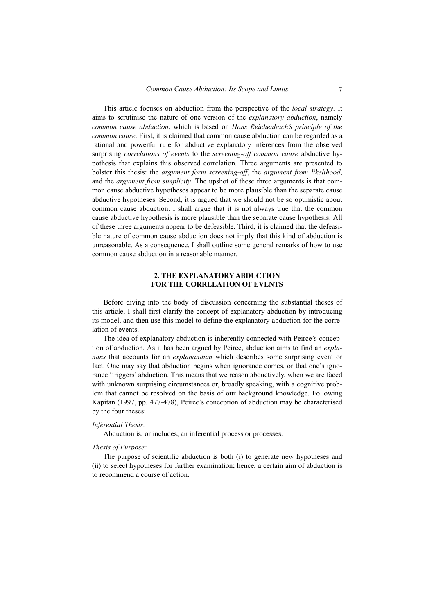This article focuses on abduction from the perspective of the *local strategy*. It aims to scrutinise the nature of one version of the *explanatory abduction*, namely *common cause abduction*, which is based on *Hans Reichenbach's principle of the common cause*. First, it is claimed that common cause abduction can be regarded as a rational and powerful rule for abductive explanatory inferences from the observed surprising *correlations of events* to the *screening-off common cause* abductive hypothesis that explains this observed correlation. Three arguments are presented to bolster this thesis: the *argument form screening-off*, the *argument from likelihood*, and the *argument from simplicity*. The upshot of these three arguments is that common cause abductive hypotheses appear to be more plausible than the separate cause abductive hypotheses. Second, it is argued that we should not be so optimistic about common cause abduction. I shall argue that it is not always true that the common cause abductive hypothesis is more plausible than the separate cause hypothesis. All of these three arguments appear to be defeasible. Third, it is claimed that the defeasible nature of common cause abduction does not imply that this kind of abduction is unreasonable. As a consequence, I shall outline some general remarks of how to use common cause abduction in a reasonable manner.

## **2. THE EXPLANATORY ABDUCTION FOR THE CORRELATION OF EVENTS**

Before diving into the body of discussion concerning the substantial theses of this article, I shall first clarify the concept of explanatory abduction by introducing its model, and then use this model to define the explanatory abduction for the correlation of events.

The idea of explanatory abduction is inherently connected with Peirce's conception of abduction. As it has been argued by Peirce, abduction aims to find an *explanans* that accounts for an *explanandum* which describes some surprising event or fact. One may say that abduction begins when ignorance comes, or that one's ignorance 'triggers' abduction. This means that we reason abductively, when we are faced with unknown surprising circumstances or, broadly speaking, with a cognitive problem that cannot be resolved on the basis of our background knowledge. Following Kapitan (1997, pp. 477-478), Peirce's conception of abduction may be characterised by the four theses:

#### *Inferential Thesis:*

Abduction is, or includes, an inferential process or processes.

## *Thesis of Purpose:*

The purpose of scientific abduction is both (i) to generate new hypotheses and (ii) to select hypotheses for further examination; hence, a certain aim of abduction is to recommend a course of action.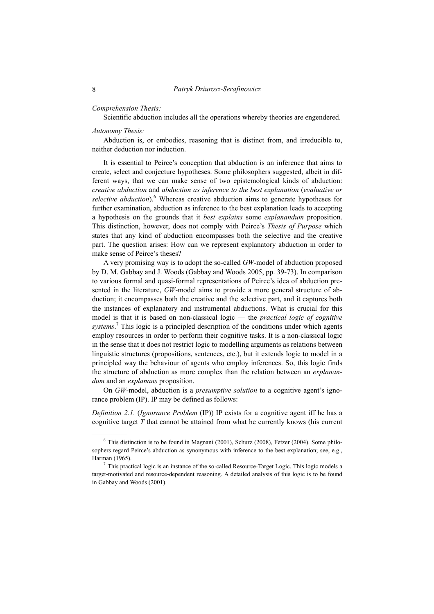#### *Comprehension Thesis:*

Scientific abduction includes all the operations whereby theories are engendered.

#### *Autonomy Thesis:*

Abduction is, or embodies, reasoning that is distinct from, and irreducible to, neither deduction nor induction.

It is essential to Peirce's conception that abduction is an inference that aims to create, select and conjecture hypotheses. Some philosophers suggested, albeit in different ways, that we can make sense of two epistemological kinds of abduction: *creative abduction* and *abduction as inference to the best explanation* (*evaluative or* selective abduction).<sup>6</sup> Whereas creative abduction aims to generate hypotheses for further examination, abduction as inference to the best explanation leads to accepting a hypothesis on the grounds that it *best explains* some *explanandum* proposition. This distinction, however, does not comply with Peirce's *Thesis of Purpose* which states that any kind of abduction encompasses both the selective and the creative part. The question arises: How can we represent explanatory abduction in order to make sense of Peirce's theses?

A very promising way is to adopt the so-called *GW*-model of abduction proposed by D. M. Gabbay and J. Woods (Gabbay and Woods 2005, pp. 39-73). In comparison to various formal and quasi-formal representations of Peirce's idea of abduction presented in the literature, *GW*-model aims to provide a more general structure of abduction; it encompasses both the creative and the selective part, and it captures both the instances of explanatory and instrumental abductions. What is crucial for this model is that it is based on non-classical logic — the *practical logic of cognitive systems*. 7 This logic is a principled description of the conditions under which agents employ resources in order to perform their cognitive tasks. It is a non-classical logic in the sense that it does not restrict logic to modelling arguments as relations between linguistic structures (propositions, sentences, etc.), but it extends logic to model in a principled way the behaviour of agents who employ inferences. So, this logic finds the structure of abduction as more complex than the relation between an *explanandum* and an *explanans* proposition.

On *GW*-model, abduction is a *presumptive solution* to a cognitive agent's ignorance problem (IP). IP may be defined as follows:

*Definition 2.1.* (*Ignorance Problem* (IP)) IP exists for a cognitive agent iff he has a cognitive target *T* that cannot be attained from what he currently knows (his current

 $6$  This distinction is to be found in Magnani (2001), Schurz (2008), Fetzer (2004). Some philosophers regard Peirce's abduction as synonymous with inference to the best explanation; see, e.g., Harman (1965).

 $<sup>7</sup>$  This practical logic is an instance of the so-called Resource-Target Logic. This logic models a</sup> target-motivated and resource-dependent reasoning. A detailed analysis of this logic is to be found in Gabbay and Woods (2001).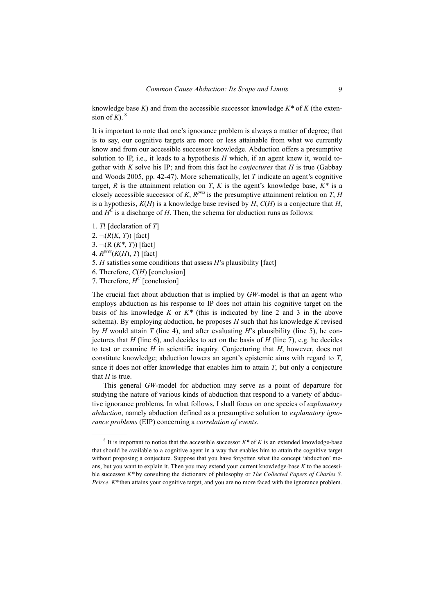knowledge base *K*) and from the accessible successor knowledge *K\** of *K* (the extension of  $K$ ).  $8$ 

It is important to note that one's ignorance problem is always a matter of degree; that is to say, our cognitive targets are more or less attainable from what we currently know and from our accessible successor knowledge. Abduction offers a presumptive solution to IP, i.e., it leads to a hypothesis *H* which, if an agent knew it, would together with *K* solve his IP; and from this fact he *conjectures* that *H* is true (Gabbay and Woods 2005, pp. 42-47). More schematically, let *T* indicate an agent's cognitive target, *R* is the attainment relation on *T*, *K* is the agent's knowledge base,  $K^*$  is a closely accessible successor of *K*,  $R^{pres}$  is the presumptive attainment relation on *T*, *H* is a hypothesis, *K*(*H*) is a knowledge base revised by *H*, *C*(*H*) is a conjecture that *H*, and  $H^C$  is a discharge of *H*. Then, the schema for abduction runs as follows:

- 1. *T*! [declaration of *T*]
- $2. \neg (R(K, T))$  [fact]

j

3. ¬(R (*K\**, *T*)) [fact]

4. *Rpres*(*K*(*H*), *T*) [fact]

- 5. *H* satisfies some conditions that assess *H*'s plausibility [fact]
- 6. Therefore, *C*(*H*) [conclusion]

7. Therefore,  $H^C$  [conclusion]

The crucial fact about abduction that is implied by *GW*-model is that an agent who employs abduction as his response to IP does not attain his cognitive target on the basis of his knowledge *K* or *K\** (this is indicated by line 2 and 3 in the above schema). By employing abduction, he proposes *H* such that his knowledge *K* revised by *H* would attain *T* (line 4), and after evaluating *H*'s plausibility (line 5), he conjectures that *H* (line 6), and decides to act on the basis of *H* (line 7), e.g. he decides to test or examine *H* in scientific inquiry. Conjecturing that *H*, however, does not constitute knowledge; abduction lowers an agent's epistemic aims with regard to *T*, since it does not offer knowledge that enables him to attain *T*, but only a conjecture that  $H$  is true.

This general *GW*-model for abduction may serve as a point of departure for studying the nature of various kinds of abduction that respond to a variety of abductive ignorance problems. In what follows, I shall focus on one species of *explanatory abduction*, namely abduction defined as a presumptive solution to *explanatory ignorance problems* (EIP) concerning a *correlation of events*.

 $8$  It is important to notice that the accessible successor  $K^*$  of  $K$  is an extended knowledge-base that should be available to a cognitive agent in a way that enables him to attain the cognitive target without proposing a conjecture. Suppose that you have forgotten what the concept 'abduction' means, but you want to explain it. Then you may extend your current knowledge-base *K* to the accessible successor *K\** by consulting the dictionary of philosophy or *The Collected Papers of Charles S. Peirce. K\** then attains your cognitive target, and you are no more faced with the ignorance problem.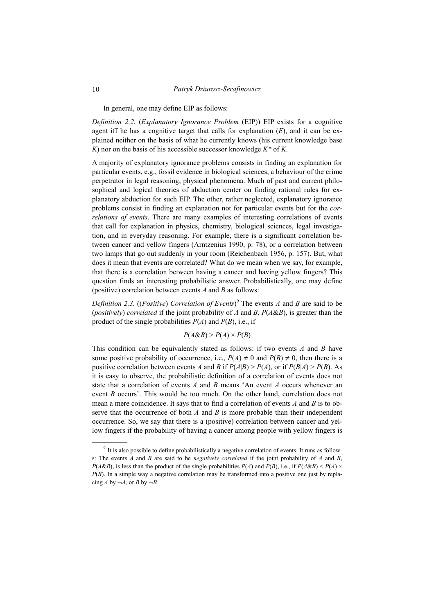In general, one may define EIP as follows:

*Definition 2.2.* (*Explanatory Ignorance Problem* (EIP)) EIP exists for a cognitive agent iff he has a cognitive target that calls for explanation  $(E)$ , and it can be explained neither on the basis of what he currently knows (his current knowledge base *K*) nor on the basis of his accessible successor knowledge *K\** of *K*.

A majority of explanatory ignorance problems consists in finding an explanation for particular events, e.g., fossil evidence in biological sciences, a behaviour of the crime perpetrator in legal reasoning, physical phenomena. Much of past and current philosophical and logical theories of abduction center on finding rational rules for explanatory abduction for such EIP. The other, rather neglected, explanatory ignorance problems consist in finding an explanation not for particular events but for the *correlations of events*. There are many examples of interesting correlations of events that call for explanation in physics, chemistry, biological sciences, legal investigation, and in everyday reasoning. For example, there is a significant correlation between cancer and yellow fingers (Arntzenius 1990, p. 78), or a correlation between two lamps that go out suddenly in your room (Reichenbach 1956, p. 157). But, what does it mean that events are correlated? What do we mean when we say, for example, that there is a correlation between having a cancer and having yellow fingers? This question finds an interesting probabilistic answer. Probabilistically, one may define (positive) correlation between events *A* and *B* as follows:

*Definition 2.3.* ((*Positive*) *Correlation of Events*) 9 The events *A* and *B* are said to be (*positively*) *correlated* if the joint probability of *A* and *B*, *P*(*A*&*B*), is greater than the product of the single probabilities  $P(A)$  and  $P(B)$ , i.e., if

 $P(A\&B) > P(A) \times P(B)$ 

This condition can be equivalently stated as follows: if two events *A* and *B* have some positive probability of occurrence, i.e.,  $P(A) \neq 0$  and  $P(B) \neq 0$ , then there is a positive correlation between events *A* and *B* if  $P(A|B) > P(A)$ , or if  $P(B|A) > P(B)$ . As it is easy to observe, the probabilistic definition of a correlation of events does not state that a correlation of events *A* and *B* means 'An event *A* occurs whenever an event *B* occurs'. This would be too much. On the other hand, correlation does not mean a mere coincidence. It says that to find a correlation of events *A* and *B* is to observe that the occurrence of both *A* and *B* is more probable than their independent occurrence. So, we say that there is a (positive) correlation between cancer and yellow fingers if the probability of having a cancer among people with yellow fingers is

 $\overline{a}$ 

<sup>9</sup> It is also possible to define probabilistically a negative correlation of events. It runs as follows: The events *A* and *B* are said to be *negatively correlated* if the joint probability of *A* and *B*, *P*(*A*&*B*), is less than the product of the single probabilities *P*(*A*) and *P*(*B*), i.e., if *P*(*A*&*B*) < *P*(*A*) × *P(B)*. In a simple way a negative correlation may be transformed into a positive one just by replacing *A* by  $\neg A$ , or *B* by  $\neg B$ .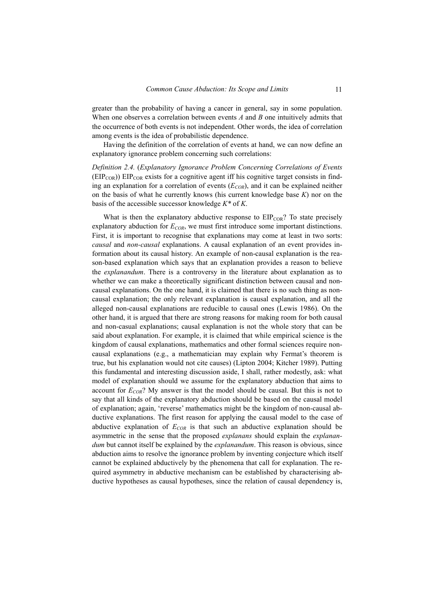greater than the probability of having a cancer in general, say in some population. When one observes a correlation between events *A* and *B* one intuitively admits that the occurrence of both events is not independent. Other words, the idea of correlation among events is the idea of probabilistic dependence.

Having the definition of the correlation of events at hand, we can now define an explanatory ignorance problem concerning such correlations:

*Definition 2.4.* (*Explanatory Ignorance Problem Concerning Correlations of Events*  $(EIP<sub>COR</sub>)$ ) EIP<sub>COR</sub> exists for a cognitive agent iff his cognitive target consists in finding an explanation for a correlation of events  $(E_{COR})$ , and it can be explained neither on the basis of what he currently knows (his current knowledge base *K*) nor on the basis of the accessible successor knowledge *K\** of *K*.

What is then the explanatory abductive response to  $EIP_{COR}$ ? To state precisely explanatory abduction for  $E_{COR}$ , we must first introduce some important distinctions. First, it is important to recognise that explanations may come at least in two sorts: *causal* and *non-causal* explanations. A causal explanation of an event provides information about its causal history. An example of non-causal explanation is the reason-based explanation which says that an explanation provides a reason to believe the *explanandum*. There is a controversy in the literature about explanation as to whether we can make a theoretically significant distinction between causal and noncausal explanations. On the one hand, it is claimed that there is no such thing as noncausal explanation; the only relevant explanation is causal explanation, and all the alleged non-causal explanations are reducible to causal ones (Lewis 1986). On the other hand, it is argued that there are strong reasons for making room for both causal and non-casual explanations; causal explanation is not the whole story that can be said about explanation. For example, it is claimed that while empirical science is the kingdom of causal explanations, mathematics and other formal sciences require noncausal explanations (e.g., a mathematician may explain why Fermat's theorem is true, but his explanation would not cite causes) (Lipton 2004; Kitcher 1989). Putting this fundamental and interesting discussion aside, I shall, rather modestly, ask: what model of explanation should we assume for the explanatory abduction that aims to account for  $E_{COR}$ ? My answer is that the model should be causal. But this is not to say that all kinds of the explanatory abduction should be based on the causal model of explanation; again, 'reverse' mathematics might be the kingdom of non-causal abductive explanations. The first reason for applying the causal model to the case of abductive explanation of  $E_{COR}$  is that such an abductive explanation should be asymmetric in the sense that the proposed *explanans* should explain the *explanandum* but cannot itself be explained by the *explanandum*. This reason is obvious, since abduction aims to resolve the ignorance problem by inventing conjecture which itself cannot be explained abductively by the phenomena that call for explanation. The required asymmetry in abductive mechanism can be established by characterising abductive hypotheses as causal hypotheses, since the relation of causal dependency is,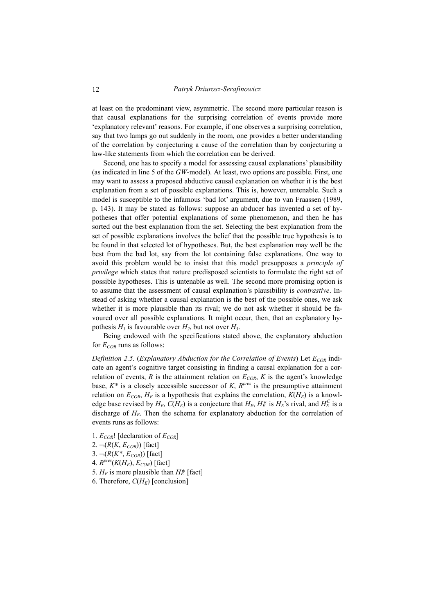at least on the predominant view, asymmetric. The second more particular reason is that causal explanations for the surprising correlation of events provide more 'explanatory relevant' reasons. For example, if one observes a surprising correlation, say that two lamps go out suddenly in the room, one provides a better understanding of the correlation by conjecturing a cause of the correlation than by conjecturing a law-like statements from which the correlation can be derived.

Second, one has to specify a model for assessing causal explanations' plausibility (as indicated in line 5 of the *GW*-model). At least, two options are possible. First, one may want to assess a proposed abductive causal explanation on whether it is the best explanation from a set of possible explanations. This is, however, untenable. Such a model is susceptible to the infamous 'bad lot' argument, due to van Fraassen (1989, p. 143). It may be stated as follows: suppose an abducer has invented a set of hypotheses that offer potential explanations of some phenomenon, and then he has sorted out the best explanation from the set. Selecting the best explanation from the set of possible explanations involves the belief that the possible true hypothesis is to be found in that selected lot of hypotheses. But, the best explanation may well be the best from the bad lot, say from the lot containing false explanations. One way to avoid this problem would be to insist that this model presupposes a *principle of privilege* which states that nature predisposed scientists to formulate the right set of possible hypotheses. This is untenable as well. The second more promising option is to assume that the assessment of causal explanation's plausibility is *contrastive*. Instead of asking whether a causal explanation is the best of the possible ones, we ask whether it is more plausible than its rival; we do not ask whether it should be favoured over all possible explanations. It might occur, then, that an explanatory hypothesis  $H_1$  is favourable over  $H_2$ , but not over  $H_3$ .

Being endowed with the specifications stated above, the explanatory abduction for  $E_{COR}$  runs as follows:

*Definition 2.5.* (*Explanatory Abduction for the Correlation of Events*) Let  $E_{COR}$  indicate an agent's cognitive target consisting in finding a causal explanation for a correlation of events,  $R$  is the attainment relation on  $E_{COR}$ ,  $K$  is the agent's knowledge base,  $K^*$  is a closely accessible successor of *K*,  $R^{pres}$  is the presumptive attainment relation on  $E_{COR}$ ,  $H_E$  is a hypothesis that explains the correlation,  $K(H_E)$  is a knowledge base revised by  $H_E$ ,  $C(H_E)$  is a conjecture that  $H_E$ ,  $H_E^*$  is  $H_E$ 's rival, and  $H_E^C$  is a discharge of  $H_E$ . Then the schema for explanatory abduction for the correlation of events runs as follows:

- 1.  $E_{COR}$ ! [declaration of  $E_{COR}$ ] 2.  $\neg(R(K, E_{COR}))$  [fact]  $3. \neg (R(K^*, E_{COR}))$  [fact] 4.  $R^{pres}(K(H_E), E_{COR})$  [fact]
- 5.  $H_E$  is more plausible than  $H_E^*$  [fact]
- 6. Therefore,  $C(H_E)$  [conclusion]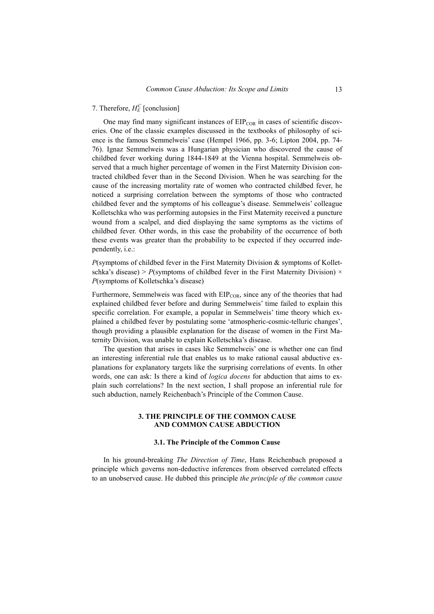7. Therefore,  $H_E^C$  [conclusion]

One may find many significant instances of  $EIP_{COR}$  in cases of scientific discoveries. One of the classic examples discussed in the textbooks of philosophy of science is the famous Semmelweis' case (Hempel 1966, pp. 3-6; Lipton 2004, pp. 74- 76). Ignaz Semmelweis was a Hungarian physician who discovered the cause of childbed fever working during 1844-1849 at the Vienna hospital. Semmelweis observed that a much higher percentage of women in the First Maternity Division contracted childbed fever than in the Second Division. When he was searching for the cause of the increasing mortality rate of women who contracted childbed fever, he noticed a surprising correlation between the symptoms of those who contracted childbed fever and the symptoms of his colleague's disease. Semmelweis' colleague Kolletschka who was performing autopsies in the First Maternity received a puncture wound from a scalpel, and died displaying the same symptoms as the victims of childbed fever. Other words, in this case the probability of the occurrence of both these events was greater than the probability to be expected if they occurred independently, i.e.:

*P*(symptoms of childbed fever in the First Maternity Division & symptoms of Kolletschka's disease) >  $P$ (symptoms of childbed fever in the First Maternity Division)  $\times$ *P*(symptoms of Kolletschka's disease)

Furthermore, Semmelweis was faced with  $EIP_{COR}$ , since any of the theories that had explained childbed fever before and during Semmelweis' time failed to explain this specific correlation. For example, a popular in Semmelweis' time theory which explained a childbed fever by postulating some 'atmospheric-cosmic-telluric changes', though providing a plausible explanation for the disease of women in the First Maternity Division, was unable to explain Kolletschka's disease.

The question that arises in cases like Semmelweis' one is whether one can find an interesting inferential rule that enables us to make rational causal abductive explanations for explanatory targets like the surprising correlations of events. In other words, one can ask: Is there a kind of *logica docens* for abduction that aims to explain such correlations? In the next section, I shall propose an inferential rule for such abduction, namely Reichenbach's Principle of the Common Cause.

## **3. THE PRINCIPLE OF THE COMMON CAUSE AND COMMON CAUSE ABDUCTION**

#### **3.1. The Principle of the Common Cause**

In his ground-breaking *The Direction of Time*, Hans Reichenbach proposed a principle which governs non-deductive inferences from observed correlated effects to an unobserved cause. He dubbed this principle *the principle of the common cause*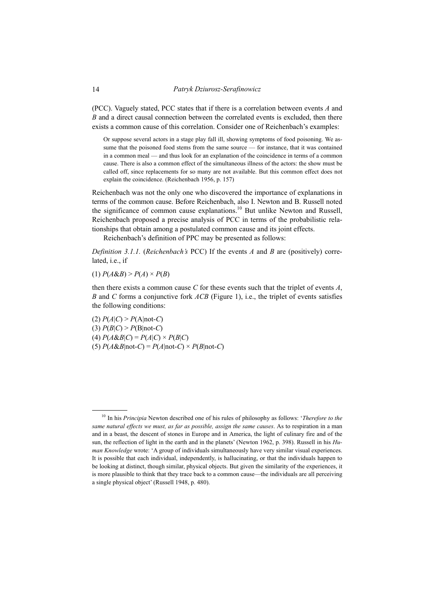(PCC). Vaguely stated, PCC states that if there is a correlation between events *A* and *B* and a direct causal connection between the correlated events is excluded, then there exists a common cause of this correlation. Consider one of Reichenbach's examples:

Or suppose several actors in a stage play fall ill, showing symptoms of food poisoning. We assume that the poisoned food stems from the same source — for instance, that it was contained in a common meal — and thus look for an explanation of the coincidence in terms of a common cause. There is also a common effect of the simultaneous illness of the actors: the show must be called off, since replacements for so many are not available. But this common effect does not explain the coincidence. (Reichenbach 1956, p. 157)

Reichenbach was not the only one who discovered the importance of explanations in terms of the common cause. Before Reichenbach, also I. Newton and B. Russell noted the significance of common cause explanations.<sup>10</sup> But unlike Newton and Russell, Reichenbach proposed a precise analysis of PCC in terms of the probabilistic relationships that obtain among a postulated common cause and its joint effects.

Reichenbach's definition of PPC may be presented as follows:

*Definition 3.1.1.* (*Reichenbach's* PCC) If the events *A* and *B* are (positively) correlated, i.e., if

 $P(A \& B) > P(A) \times P(B)$ 

j

then there exists a common cause *C* for these events such that the triplet of events *A*, *B* and *C* forms a conjunctive fork *ACB* (Figure 1), i.e., the triplet of events satisfies the following conditions:

 $P(A|C) > P(A|not-C)$ (3)  $P(B|C) > P(B|not-C)$  $P(A \& B|C) = P(A|C) \times P(B|C)$ (5)  $P(A \& B \vert \text{not-}C) = P(A \vert \text{not-}C) \times P(B \vert \text{not-}C)$ 

<sup>10</sup> In his *Principia* Newton described one of his rules of philosophy as follows: '*Therefore to the same natural effects we must, as far as possible, assign the same causes*. As to respiration in a man and in a beast, the descent of stones in Europe and in America, the light of culinary fire and of the sun, the reflection of light in the earth and in the planets' (Newton 1962, p. 398). Russell in his *Human Knowledge* wrote: 'A group of individuals simultaneously have very similar visual experiences. It is possible that each individual, independently, is hallucinating, or that the individuals happen to be looking at distinct, though similar, physical objects. But given the similarity of the experiences, it is more plausible to think that they trace back to a common cause—the individuals are all perceiving a single physical object' (Russell 1948, p. 480).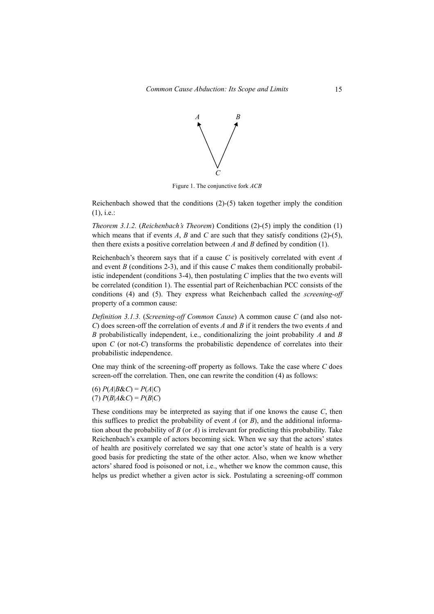

Figure 1. The conjunctive fork *ACB*

Reichenbach showed that the conditions (2)-(5) taken together imply the condition (1), i.e.:

*Theorem 3.1.2.* (*Reichenbach's Theorem*) Conditions (2)-(5) imply the condition (1) which means that if events  $A$ ,  $B$  and  $C$  are such that they satisfy conditions (2)-(5), then there exists a positive correlation between *A* and *B* defined by condition (1).

Reichenbach's theorem says that if a cause *C* is positively correlated with event *A* and event *B* (conditions 2-3), and if this cause *C* makes them conditionally probabilistic independent (conditions 3-4), then postulating *C* implies that the two events will be correlated (condition 1). The essential part of Reichenbachian PCC consists of the conditions (4) and (5). They express what Reichenbach called the *screening-off* property of a common cause:

*Definition 3.1.3.* (*Screening-off Common Cause*) A common cause *C* (and also not-*C*) does screen-off the correlation of events *A* and *B* if it renders the two events *A* and *B* probabilistically independent, i.e., conditionalizing the joint probability *A* and *B* upon *C* (or not-*C*) transforms the probabilistic dependence of correlates into their probabilistic independence.

One may think of the screening-off property as follows. Take the case where *C* does screen-off the correlation. Then, one can rewrite the condition (4) as follows:

(6) *P*(*A*|*B*&*C*) = *P*(*A*|*C*)  $P(B|A \& C) = P(B|C)$ 

These conditions may be interpreted as saying that if one knows the cause *C*, then this suffices to predict the probability of event *A* (or *B*), and the additional information about the probability of *B* (or *A*) is irrelevant for predicting this probability. Take Reichenbach's example of actors becoming sick. When we say that the actors' states of health are positively correlated we say that one actor's state of health is a very good basis for predicting the state of the other actor. Also, when we know whether actors' shared food is poisoned or not, i.e., whether we know the common cause, this helps us predict whether a given actor is sick. Postulating a screening-off common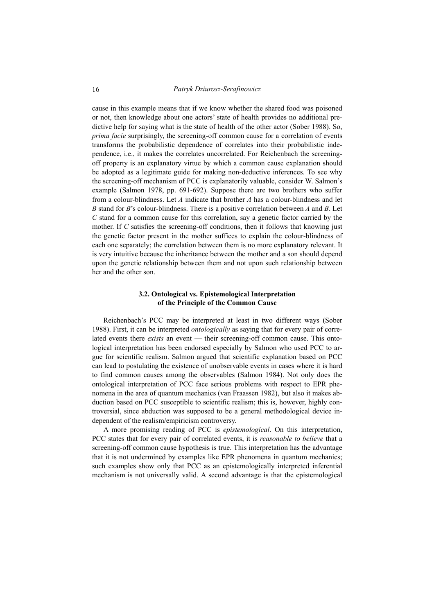cause in this example means that if we know whether the shared food was poisoned or not, then knowledge about one actors' state of health provides no additional predictive help for saying what is the state of health of the other actor (Sober 1988). So, *prima facie* surprisingly, the screening-off common cause for a correlation of events transforms the probabilistic dependence of correlates into their probabilistic independence, i.e., it makes the correlates uncorrelated. For Reichenbach the screeningoff property is an explanatory virtue by which a common cause explanation should be adopted as a legitimate guide for making non-deductive inferences. To see why the screening-off mechanism of PCC is explanatorily valuable, consider W. Salmon's example (Salmon 1978, pp. 691-692). Suppose there are two brothers who suffer from a colour-blindness. Let *A* indicate that brother *A* has a colour-blindness and let *B* stand for *B*'s colour-blindness. There is a positive correlation between *A* and *B*. Let *C* stand for a common cause for this correlation, say a genetic factor carried by the mother. If *C* satisfies the screening-off conditions, then it follows that knowing just the genetic factor present in the mother suffices to explain the colour-blindness of each one separately; the correlation between them is no more explanatory relevant. It is very intuitive because the inheritance between the mother and a son should depend upon the genetic relationship between them and not upon such relationship between her and the other son.

## **3.2. Ontological vs. Epistemological Interpretation of the Principle of the Common Cause**

Reichenbach's PCC may be interpreted at least in two different ways (Sober 1988). First, it can be interpreted *ontologically* as saying that for every pair of correlated events there *exists* an event — their screening-off common cause. This ontological interpretation has been endorsed especially by Salmon who used PCC to argue for scientific realism. Salmon argued that scientific explanation based on PCC can lead to postulating the existence of unobservable events in cases where it is hard to find common causes among the observables (Salmon 1984). Not only does the ontological interpretation of PCC face serious problems with respect to EPR phenomena in the area of quantum mechanics (van Fraassen 1982), but also it makes abduction based on PCC susceptible to scientific realism; this is, however, highly controversial, since abduction was supposed to be a general methodological device independent of the realism/empiricism controversy.

A more promising reading of PCC is *epistemological*. On this interpretation, PCC states that for every pair of correlated events, it is *reasonable to believe* that a screening-off common cause hypothesis is true. This interpretation has the advantage that it is not undermined by examples like EPR phenomena in quantum mechanics; such examples show only that PCC as an epistemologically interpreted inferential mechanism is not universally valid. A second advantage is that the epistemological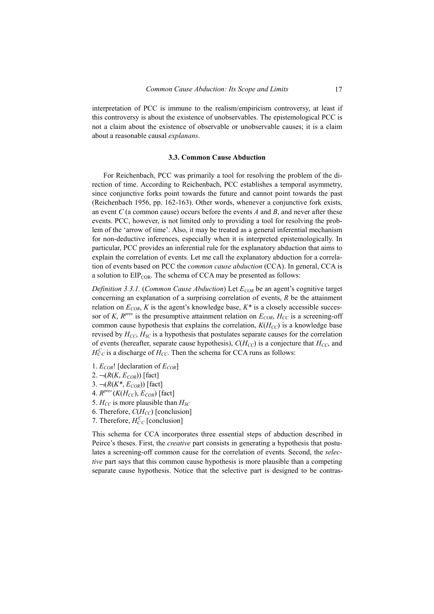interpretation of PCC is immune to the realism/empiricism controversy, at least if this controversy is about the existence of unobservables. The epistemological PCC is not a claim about the existence of observable or unobservable causes; it is a claim about a reasonable causal *explanans*.

#### **3.3. Common Cause Abduction**

For Reichenbach, PCC was primarily a tool for resolving the problem of the direction of time. According to Reichenbach, PCC establishes a temporal asymmetry, since conjunctive forks point towards the future and cannot point towards the past (Reichenbach 1956, pp. 162-163). Other words, whenever a conjunctive fork exists, an event *C* (a common cause) occurs before the events *A* and *B*, and never after these events. PCC, however, is not limited only to providing a tool for resolving the problem of the 'arrow of time'. Also, it may be treated as a general inferential mechanism for non-deductive inferences, especially when it is interpreted epistemologically. In particular, PCC provides an inferential rule for the explanatory abduction that aims to explain the correlation of events. Let me call the explanatory abduction for a correlation of events based on PCC the *common cause abduction* (CCA). In general, CCA is a solution to  $EIP_{COR}$ . The schema of CCA may be presented as follows:

*Definition 3.3.1.* (*Common Cause Abduction*) Let  $E_{COR}$  be an agent's cognitive target concerning an explanation of a surprising correlation of events, *R* be the attainment relation on  $E_{COR}$ , *K* is the agent's knowledge base,  $K^*$  is a closely accessible successor of *K*,  $R^{pres}$  is the presumptive attainment relation on  $E_{COR}$ ,  $H_{CC}$  is a screening-off common cause hypothesis that explains the correlation,  $K(H_{CC})$  is a knowledge base revised by  $H_{CC}$ ,  $H_{SC}$  is a hypothesis that postulates separate causes for the correlation of events (hereafter, separate cause hypothesis),  $C(H_{CC})$  is a conjecture that  $H_{CC}$ , and  $H_{CC}^C$  is a discharge of  $H_{CC}$ . Then the schema for CCA runs as follows:

- 1.  $E_{COR}$ ! [declaration of  $E_{COR}$ ]
- 2.  $\neg(R(K, E_{COR}))$  [fact]
- $3. \neg (R(K^*, E_{COR}))$  [fact]
- 4.  $R^{pres}$  ( $K(H_{CC})$ ,  $E_{COR}$ ) [fact]
- 5.  $H_{CC}$  is more plausible than  $H_{SC}$
- 6. Therefore,  $C(H_{CC})$  [conclusion]
- 7. Therefore,  $H_{CC}^{C}$  [conclusion]

This schema for CCA incorporates three essential steps of abduction described in Peirce's theses. First, the *creative* part consists in generating a hypothesis that postulates a screening-off common cause for the correlation of events. Second, the *selective* part says that this common cause hypothesis is more plausible than a competing separate cause hypothesis. Notice that the selective part is designed to be contras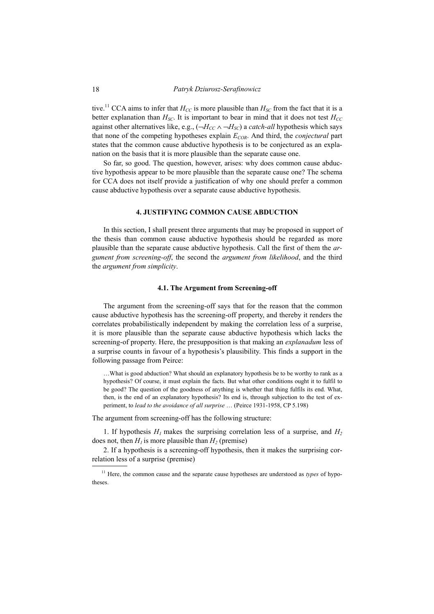tive.<sup>11</sup> CCA aims to infer that  $H_{CC}$  is more plausible than  $H_{SC}$  from the fact that it is a better explanation than  $H_{SC}$ . It is important to bear in mind that it does not test  $H_{CC}$ against other alternatives like, e.g.,  $(\neg H_{CC} \land \neg H_{SC})$  a *catch-all* hypothesis which says that none of the competing hypotheses explain *ECOR*. And third, the *conjectural* part states that the common cause abductive hypothesis is to be conjectured as an explanation on the basis that it is more plausible than the separate cause one.

So far, so good. The question, however, arises: why does common cause abductive hypothesis appear to be more plausible than the separate cause one? The schema for CCA does not itself provide a justification of why one should prefer a common cause abductive hypothesis over a separate cause abductive hypothesis.

### **4. JUSTIFYING COMMON CAUSE ABDUCTION**

In this section, I shall present three arguments that may be proposed in support of the thesis than common cause abductive hypothesis should be regarded as more plausible than the separate cause abductive hypothesis. Call the first of them the *argument from screening-off*, the second the *argument from likelihood*, and the third the *argument from simplicity*.

#### **4.1. The Argument from Screening-off**

The argument from the screening-off says that for the reason that the common cause abductive hypothesis has the screening-off property, and thereby it renders the correlates probabilistically independent by making the correlation less of a surprise, it is more plausible than the separate cause abductive hypothesis which lacks the screening-of property. Here, the presupposition is that making an *explanadum* less of a surprise counts in favour of a hypothesis's plausibility. This finds a support in the following passage from Peirce:

…What is good abduction? What should an explanatory hypothesis be to be worthy to rank as a hypothesis? Of course, it must explain the facts. But what other conditions ought it to fulfil to be good? The question of the goodness of anything is whether that thing fulfils its end. What, then, is the end of an explanatory hypothesis? Its end is, through subjection to the test of experiment, to *lead to the avoidance of all surprise* … (Peirce 1931-1958, CP 5.198)

The argument from screening-off has the following structure:

1. If hypothesis  $H_1$  makes the surprising correlation less of a surprise, and  $H_2$ does not, then  $H_1$  is more plausible than  $H_2$  (premise)

2. If a hypothesis is a screening-off hypothesis, then it makes the surprising correlation less of a surprise (premise)

<sup>&</sup>lt;sup>11</sup> Here, the common cause and the separate cause hypotheses are understood as *types* of hypotheses.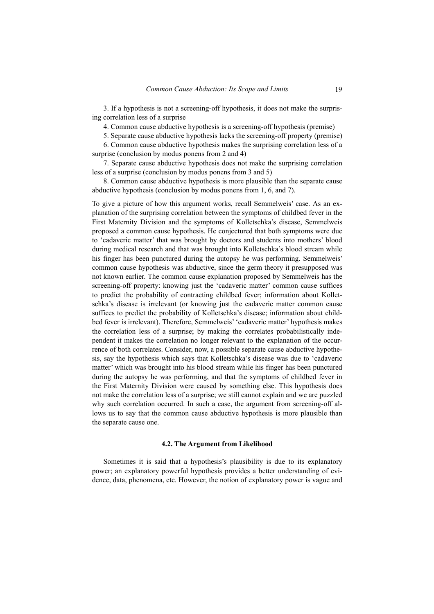3. If a hypothesis is not a screening-off hypothesis, it does not make the surprising correlation less of a surprise

4. Common cause abductive hypothesis is a screening-off hypothesis (premise)

5. Separate cause abductive hypothesis lacks the screening-off property (premise)

6. Common cause abductive hypothesis makes the surprising correlation less of a surprise (conclusion by modus ponens from 2 and 4)

7. Separate cause abductive hypothesis does not make the surprising correlation less of a surprise (conclusion by modus ponens from 3 and 5)

8. Common cause abductive hypothesis is more plausible than the separate cause abductive hypothesis (conclusion by modus ponens from 1, 6, and 7).

To give a picture of how this argument works, recall Semmelweis' case. As an explanation of the surprising correlation between the symptoms of childbed fever in the First Maternity Division and the symptoms of Kolletschka's disease, Semmelweis proposed a common cause hypothesis. He conjectured that both symptoms were due to 'cadaveric matter' that was brought by doctors and students into mothers' blood during medical research and that was brought into Kolletschka's blood stream while his finger has been punctured during the autopsy he was performing. Semmelweis' common cause hypothesis was abductive, since the germ theory it presupposed was not known earlier. The common cause explanation proposed by Semmelweis has the screening-off property: knowing just the 'cadaveric matter' common cause suffices to predict the probability of contracting childbed fever; information about Kolletschka's disease is irrelevant (or knowing just the cadaveric matter common cause suffices to predict the probability of Kolletschka's disease; information about childbed fever is irrelevant). Therefore, Semmelweis' 'cadaveric matter' hypothesis makes the correlation less of a surprise; by making the correlates probabilistically independent it makes the correlation no longer relevant to the explanation of the occurrence of both correlates. Consider, now, a possible separate cause abductive hypothesis, say the hypothesis which says that Kolletschka's disease was due to 'cadaveric matter' which was brought into his blood stream while his finger has been punctured during the autopsy he was performing, and that the symptoms of childbed fever in the First Maternity Division were caused by something else. This hypothesis does not make the correlation less of a surprise; we still cannot explain and we are puzzled why such correlation occurred. In such a case, the argument from screening-off allows us to say that the common cause abductive hypothesis is more plausible than the separate cause one.

#### **4.2. The Argument from Likelihood**

Sometimes it is said that a hypothesis's plausibility is due to its explanatory power; an explanatory powerful hypothesis provides a better understanding of evidence, data, phenomena, etc. However, the notion of explanatory power is vague and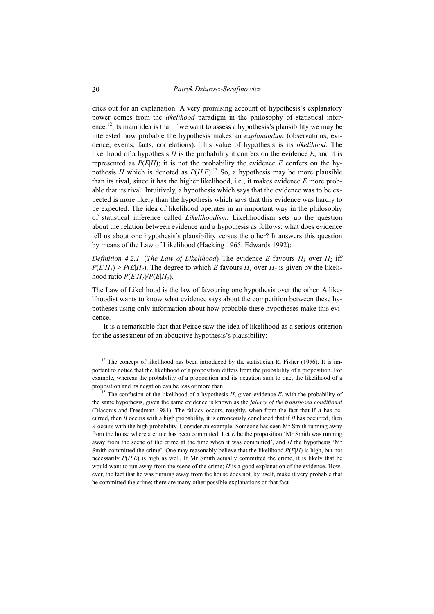cries out for an explanation. A very promising account of hypothesis's explanatory power comes from the *likelihood* paradigm in the philosophy of statistical inference.<sup>12</sup> Its main idea is that if we want to assess a hypothesis's plausibility we may be interested how probable the hypothesis makes an *explanandum* (observations, evidence, events, facts, correlations). This value of hypothesis is its *likelihood*. The likelihood of a hypothesis  $H$  is the probability it confers on the evidence  $E$ , and it is represented as  $P(E|H)$ ; it is not the probability the evidence  $E$  confers on the hypothesis *H* which is denoted as  $P(H|E)^{13}$  So, a hypothesis may be more plausible than its rival, since it has the higher likelihood, i.e., it makes evidence *E* more probable that its rival. Intuitively, a hypothesis which says that the evidence was to be expected is more likely than the hypothesis which says that this evidence was hardly to be expected. The idea of likelihood operates in an important way in the philosophy of statistical inference called *Likelihoodism*. Likelihoodism sets up the question about the relation between evidence and a hypothesis as follows: what does evidence tell us about one hypothesis's plausibility versus the other? It answers this question by means of the Law of Likelihood (Hacking 1965; Edwards 1992):

*Definition 4.2.1.* (*The Law of Likelihood*) The evidence *E* favours  $H_1$  over  $H_2$  iff  $P(E|H_1)$  >  $P(E|H_2)$ . The degree to which *E* favours  $H_1$  over  $H_2$  is given by the likelihood ratio  $P(E|H_1)/P(E|H_2)$ .

The Law of Likelihood is the law of favouring one hypothesis over the other. A likelihoodist wants to know what evidence says about the competition between these hypotheses using only information about how probable these hypotheses make this evidence.

It is a remarkable fact that Peirce saw the idea of likelihood as a serious criterion for the assessment of an abductive hypothesis's plausibility:

 $12$  The concept of likelihood has been introduced by the statistician R. Fisher (1956). It is important to notice that the likelihood of a proposition differs from the probability of a proposition. For example, whereas the probability of a proposition and its negation sum to one, the likelihood of a proposition and its negation can be less or more than 1.

<sup>&</sup>lt;sup>13</sup> The confusion of the likelihood of a hypothesis  $H$ , given evidence  $E$ , with the probability of the same hypothesis, given the same evidence is known as the *fallacy of the transposed conditional* (Diaconis and Freedman 1981). The fallacy occurs, roughly, when from the fact that if *A* has occurred, then *B* occurs with a high probability, it is erroneously concluded that if *B* has occurred, then *A* occurs with the high probability. Consider an example: Someone has seen Mr Smith running away from the house where a crime has been committed. Let *E* be the proposition 'Mr Smith was running away from the scene of the crime at the time when it was committed', and *H* the hypothesis 'Mr Smith committed the crime'. One may reasonably believe that the likelihood *P*(*E*|*H*) is high, but not necessarily  $P(H|E)$  is high as well. If Mr Smith actually committed the crime, it is likely that he would want to run away from the scene of the crime; *H* is a good explanation of the evidence. However, the fact that he was running away from the house does not, by itself, make it very probable that he committed the crime; there are many other possible explanations of that fact.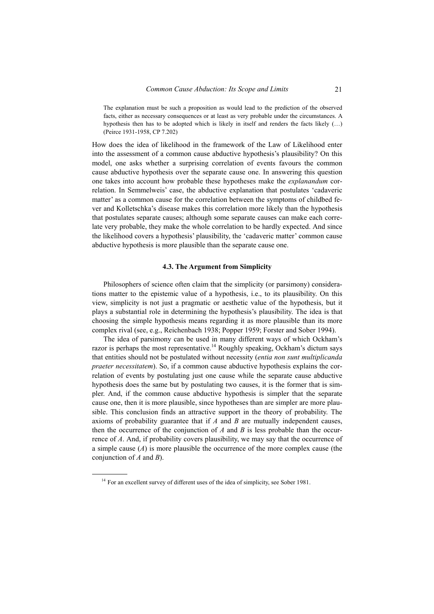The explanation must be such a proposition as would lead to the prediction of the observed facts, either as necessary consequences or at least as very probable under the circumstances. A hypothesis then has to be adopted which is likely in itself and renders the facts likely  $(...)$ (Peirce 1931-1958, CP 7.202)

How does the idea of likelihood in the framework of the Law of Likelihood enter into the assessment of a common cause abductive hypothesis's plausibility? On this model, one asks whether a surprising correlation of events favours the common cause abductive hypothesis over the separate cause one. In answering this question one takes into account how probable these hypotheses make the *explanandum* correlation. In Semmelweis' case, the abductive explanation that postulates 'cadaveric matter' as a common cause for the correlation between the symptoms of childbed fever and Kolletschka's disease makes this correlation more likely than the hypothesis that postulates separate causes; although some separate causes can make each correlate very probable, they make the whole correlation to be hardly expected. And since the likelihood covers a hypothesis' plausibility, the 'cadaveric matter' common cause abductive hypothesis is more plausible than the separate cause one.

#### **4.3. The Argument from Simplicity**

Philosophers of science often claim that the simplicity (or parsimony) considerations matter to the epistemic value of a hypothesis, i.e., to its plausibility. On this view, simplicity is not just a pragmatic or aesthetic value of the hypothesis, but it plays a substantial role in determining the hypothesis's plausibility. The idea is that choosing the simple hypothesis means regarding it as more plausible than its more complex rival (see, e.g., Reichenbach 1938; Popper 1959; Forster and Sober 1994).

The idea of parsimony can be used in many different ways of which Ockham's razor is perhaps the most representative.<sup>14</sup> Roughly speaking, Ockham's dictum says that entities should not be postulated without necessity (*entia non sunt multiplicanda praeter necessitatem*). So, if a common cause abductive hypothesis explains the correlation of events by postulating just one cause while the separate cause abductive hypothesis does the same but by postulating two causes, it is the former that is simpler. And, if the common cause abductive hypothesis is simpler that the separate cause one, then it is more plausible, since hypotheses than are simpler are more plausible. This conclusion finds an attractive support in the theory of probability. The axioms of probability guarantee that if *A* and *B* are mutually independent causes, then the occurrence of the conjunction of  $A$  and  $B$  is less probable than the occurrence of *A*. And, if probability covers plausibility, we may say that the occurrence of a simple cause  $(A)$  is more plausible the occurrence of the more complex cause (the conjunction of *A* and *B*).

<sup>&</sup>lt;sup>14</sup> For an excellent survey of different uses of the idea of simplicity, see Sober 1981.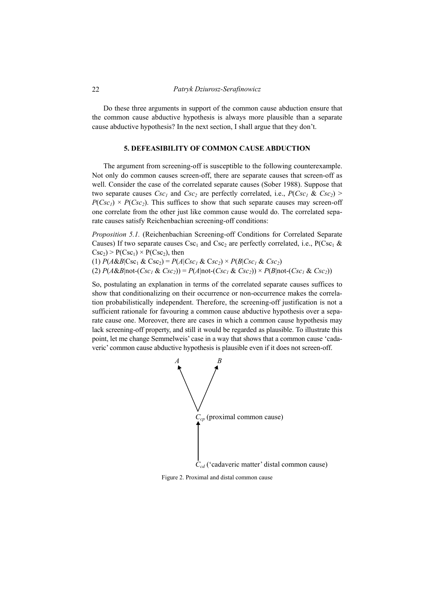Do these three arguments in support of the common cause abduction ensure that the common cause abductive hypothesis is always more plausible than a separate cause abductive hypothesis? In the next section, I shall argue that they don't.

#### **5. DEFEASIBILITY OF COMMON CAUSE ABDUCTION**

The argument from screening-off is susceptible to the following counterexample. Not only do common causes screen-off, there are separate causes that screen-off as well. Consider the case of the correlated separate causes (Sober 1988). Suppose that two separate causes  $Csc_1$  and  $Csc_2$  are perfectly correlated, i.e.,  $P(Csc_1 \& Csc_2)$  $P(Csc_1) \times P(Csc_2)$ . This suffices to show that such separate causes may screen-off one correlate from the other just like common cause would do. The correlated separate causes satisfy Reichenbachian screening-off conditions:

*Proposition 5.1.* (Reichenbachian Screening-off Conditions for Correlated Separate Causes) If two separate causes  $Csc_1$  and  $Csc_2$  are perfectly correlated, i.e., P(Csc<sub>1</sub> &  $Csc_2$ ) > P(Csc<sub>1</sub>) × P(Csc<sub>2</sub>), then

(1)  $P(A\&B|Csc_1 \& Csc_2) = P(A|Csc_1 \& Csc_2) \times P(B|Csc_1 \& Csc_2)$ (2)  $P(A \& B \mid \text{not} - (Csc_1 \& Csc_2)) = P(A \mid \text{not} - (Csc_1 \& Csc_2)) \times P(B \mid \text{not} - (Csc_1 \& Csc_2))$ 

So, postulating an explanation in terms of the correlated separate causes suffices to show that conditionalizing on their occurrence or non-occurrence makes the correlation probabilistically independent. Therefore, the screening-off justification is not a sufficient rationale for favouring a common cause abductive hypothesis over a separate cause one. Moreover, there are cases in which a common cause hypothesis may lack screening-off property, and still it would be regarded as plausible. To illustrate this point, let me change Semmelweis' case in a way that shows that a common cause 'cadaveric' common cause abductive hypothesis is plausible even if it does not screen-off.



Figure 2. Proximal and distal common cause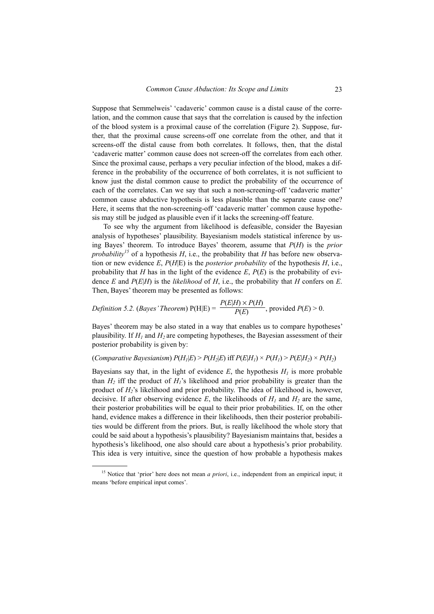Suppose that Semmelweis' 'cadaveric' common cause is a distal cause of the correlation, and the common cause that says that the correlation is caused by the infection of the blood system is a proximal cause of the correlation (Figure 2). Suppose, further, that the proximal cause screens-off one correlate from the other, and that it screens-off the distal cause from both correlates. It follows, then, that the distal 'cadaveric matter' common cause does not screen-off the correlates from each other. Since the proximal cause, perhaps a very peculiar infection of the blood, makes a difference in the probability of the occurrence of both correlates, it is not sufficient to know just the distal common cause to predict the probability of the occurrence of each of the correlates. Can we say that such a non-screening-off 'cadaveric matter' common cause abductive hypothesis is less plausible than the separate cause one? Here, it seems that the non-screening-off 'cadaveric matter' common cause hypothesis may still be judged as plausible even if it lacks the screening-off feature.

To see why the argument from likelihood is defeasible, consider the Bayesian analysis of hypotheses' plausibility. Bayesianism models statistical inference by using Bayes' theorem. To introduce Bayes' theorem, assume that *P*(*H*) is the *prior probability*<sup>15</sup> of a hypothesis *H*, i.e., the probability that *H* has before new observation or new evidence *E*, *P*(*H*|E) is the *posterior probability* of the hypothesis *H*, i.e., probability that *H* has in the light of the evidence  $E$ ,  $P(E)$  is the probability of evidence *E* and *P*(*E*|*H*) is the *likelihood* of *H*, i.e., the probability that *H* confers on *E*. Then, Bayes' theorem may be presented as follows:

*Definition 5.2. (Bayes' Theorem)* 
$$
P(H|E) = \frac{P(E|H) \times P(H)}{P(E)}
$$
, provided  $P(E) > 0$ .

Bayes' theorem may be also stated in a way that enables us to compare hypotheses' plausibility. If  $H_1$  and  $H_2$  are competing hypotheses, the Bayesian assessment of their posterior probability is given by:

## $P(H_1|E) > P(H_2|E)$  iff  $P(E|H_1) \times P(H_1) > P(E|H_2) \times P(H_2)$

Bayesians say that, in the light of evidence  $E$ , the hypothesis  $H<sub>I</sub>$  is more probable than  $H_2$  iff the product of  $H_1$ 's likelihood and prior probability is greater than the product of *H2*'s likelihood and prior probability. The idea of likelihood is, however, decisive. If after observing evidence  $E$ , the likelihoods of  $H_1$  and  $H_2$  are the same, their posterior probabilities will be equal to their prior probabilities. If, on the other hand, evidence makes a difference in their likelihoods, then their posterior probabilities would be different from the priors. But, is really likelihood the whole story that could be said about a hypothesis's plausibility? Bayesianism maintains that, besides a hypothesis's likelihood, one also should care about a hypothesis's prior probability. This idea is very intuitive, since the question of how probable a hypothesis makes

<sup>&</sup>lt;sup>15</sup> Notice that 'prior' here does not mean *a priori*, i.e., independent from an empirical input; it means 'before empirical input comes'.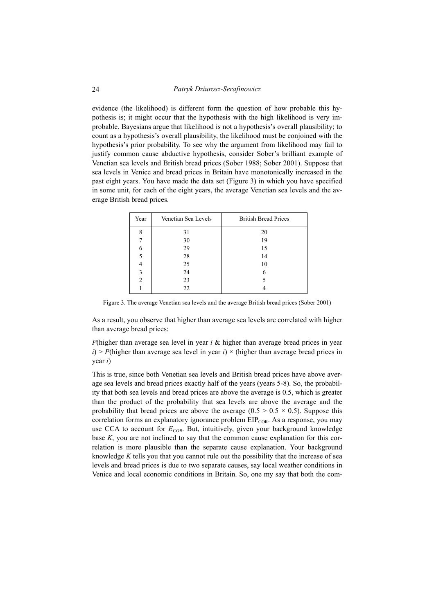evidence (the likelihood) is different form the question of how probable this hypothesis is; it might occur that the hypothesis with the high likelihood is very improbable. Bayesians argue that likelihood is not a hypothesis's overall plausibility; to count as a hypothesis's overall plausibility, the likelihood must be conjoined with the hypothesis's prior probability. To see why the argument from likelihood may fail to justify common cause abductive hypothesis, consider Sober's brilliant example of Venetian sea levels and British bread prices (Sober 1988; Sober 2001). Suppose that sea levels in Venice and bread prices in Britain have monotonically increased in the past eight years. You have made the data set (Figure 3) in which you have specified in some unit, for each of the eight years, the average Venetian sea levels and the average British bread prices.

| Year           | Venetian Sea Levels | <b>British Bread Prices</b> |
|----------------|---------------------|-----------------------------|
| 8              | 31                  | 20                          |
|                | 30                  | 19                          |
| 6              | 29                  | 15                          |
| 5              | 28                  | 14                          |
| 4              | 25                  | 10                          |
| 3              | 24                  | 6                           |
| $\overline{c}$ | 23                  |                             |
|                | 22                  |                             |

Figure 3. The average Venetian sea levels and the average British bread prices (Sober 2001)

As a result, you observe that higher than average sea levels are correlated with higher than average bread prices:

*P*(higher than average sea level in year *i &* higher than average bread prices in year  $i$ ) > *P*(higher than average sea level in year *i*) × (higher than average bread prices in year *i*)

This is true, since both Venetian sea levels and British bread prices have above average sea levels and bread prices exactly half of the years (years 5-8). So, the probability that both sea levels and bread prices are above the average is 0.5, which is greater than the product of the probability that sea levels are above the average and the probability that bread prices are above the average  $(0.5 \times 0.5 \times 0.5)$ . Suppose this correlation forms an explanatory ignorance problem  $EIP_{COR}$ . As a response, you may use CCA to account for  $E_{COR}$ . But, intuitively, given your background knowledge base *K*, you are not inclined to say that the common cause explanation for this correlation is more plausible than the separate cause explanation. Your background knowledge *K* tells you that you cannot rule out the possibility that the increase of sea levels and bread prices is due to two separate causes, say local weather conditions in Venice and local economic conditions in Britain. So, one my say that both the com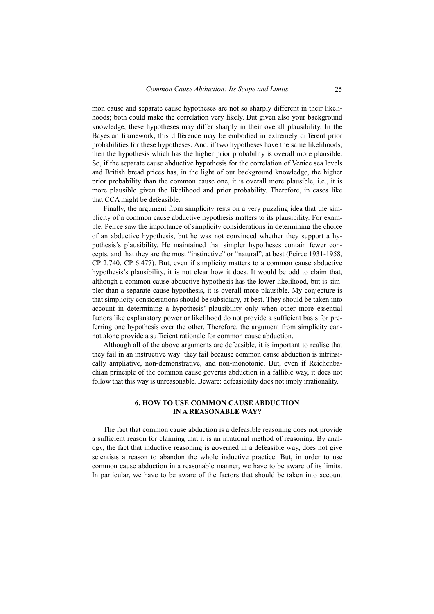mon cause and separate cause hypotheses are not so sharply different in their likelihoods; both could make the correlation very likely. But given also your background knowledge, these hypotheses may differ sharply in their overall plausibility. In the Bayesian framework, this difference may be embodied in extremely different prior probabilities for these hypotheses. And, if two hypotheses have the same likelihoods, then the hypothesis which has the higher prior probability is overall more plausible. So, if the separate cause abductive hypothesis for the correlation of Venice sea levels and British bread prices has, in the light of our background knowledge, the higher prior probability than the common cause one, it is overall more plausible, i.e., it is more plausible given the likelihood and prior probability. Therefore, in cases like that CCA might be defeasible.

Finally, the argument from simplicity rests on a very puzzling idea that the simplicity of a common cause abductive hypothesis matters to its plausibility. For example, Peirce saw the importance of simplicity considerations in determining the choice of an abductive hypothesis, but he was not convinced whether they support a hypothesis's plausibility. He maintained that simpler hypotheses contain fewer concepts, and that they are the most "instinctive" or "natural", at best (Peirce 1931-1958, CP 2.740, CP 6.477). But, even if simplicity matters to a common cause abductive hypothesis's plausibility, it is not clear how it does. It would be odd to claim that, although a common cause abductive hypothesis has the lower likelihood, but is simpler than a separate cause hypothesis, it is overall more plausible. My conjecture is that simplicity considerations should be subsidiary, at best. They should be taken into account in determining a hypothesis' plausibility only when other more essential factors like explanatory power or likelihood do not provide a sufficient basis for preferring one hypothesis over the other. Therefore, the argument from simplicity cannot alone provide a sufficient rationale for common cause abduction.

Although all of the above arguments are defeasible, it is important to realise that they fail in an instructive way: they fail because common cause abduction is intrinsically ampliative, non-demonstrative, and non-monotonic. But, even if Reichenbachian principle of the common cause governs abduction in a fallible way, it does not follow that this way is unreasonable. Beware: defeasibility does not imply irrationality.

## **6. HOW TO USE COMMON CAUSE ABDUCTION IN A REASONABLE WAY?**

The fact that common cause abduction is a defeasible reasoning does not provide a sufficient reason for claiming that it is an irrational method of reasoning. By analogy, the fact that inductive reasoning is governed in a defeasible way, does not give scientists a reason to abandon the whole inductive practice. But, in order to use common cause abduction in a reasonable manner, we have to be aware of its limits. In particular, we have to be aware of the factors that should be taken into account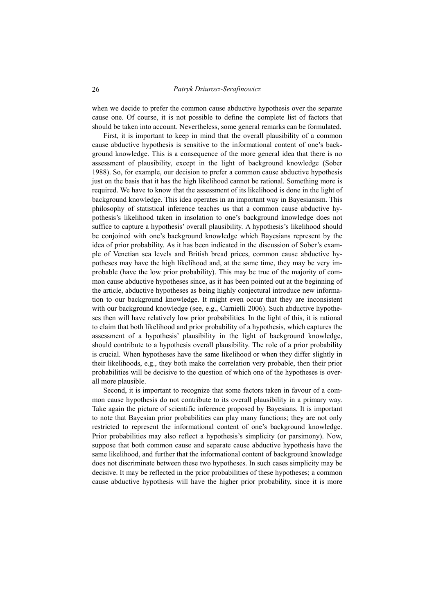when we decide to prefer the common cause abductive hypothesis over the separate cause one. Of course, it is not possible to define the complete list of factors that should be taken into account. Nevertheless, some general remarks can be formulated.

First, it is important to keep in mind that the overall plausibility of a common cause abductive hypothesis is sensitive to the informational content of one's background knowledge. This is a consequence of the more general idea that there is no assessment of plausibility, except in the light of background knowledge (Sober 1988). So, for example, our decision to prefer a common cause abductive hypothesis just on the basis that it has the high likelihood cannot be rational. Something more is required. We have to know that the assessment of its likelihood is done in the light of background knowledge. This idea operates in an important way in Bayesianism. This philosophy of statistical inference teaches us that a common cause abductive hypothesis's likelihood taken in insolation to one's background knowledge does not suffice to capture a hypothesis' overall plausibility. A hypothesis's likelihood should be conjoined with one's background knowledge which Bayesians represent by the idea of prior probability. As it has been indicated in the discussion of Sober's example of Venetian sea levels and British bread prices, common cause abductive hypotheses may have the high likelihood and, at the same time, they may be very improbable (have the low prior probability). This may be true of the majority of common cause abductive hypotheses since, as it has been pointed out at the beginning of the article, abductive hypotheses as being highly conjectural introduce new information to our background knowledge. It might even occur that they are inconsistent with our background knowledge (see, e.g., Carnielli 2006). Such abductive hypotheses then will have relatively low prior probabilities. In the light of this, it is rational to claim that both likelihood and prior probability of a hypothesis, which captures the assessment of a hypothesis' plausibility in the light of background knowledge, should contribute to a hypothesis overall plausibility. The role of a prior probability is crucial. When hypotheses have the same likelihood or when they differ slightly in their likelihoods, e.g., they both make the correlation very probable, then their prior probabilities will be decisive to the question of which one of the hypotheses is overall more plausible.

Second, it is important to recognize that some factors taken in favour of a common cause hypothesis do not contribute to its overall plausibility in a primary way. Take again the picture of scientific inference proposed by Bayesians. It is important to note that Bayesian prior probabilities can play many functions; they are not only restricted to represent the informational content of one's background knowledge. Prior probabilities may also reflect a hypothesis's simplicity (or parsimony). Now, suppose that both common cause and separate cause abductive hypothesis have the same likelihood, and further that the informational content of background knowledge does not discriminate between these two hypotheses. In such cases simplicity may be decisive. It may be reflected in the prior probabilities of these hypotheses; a common cause abductive hypothesis will have the higher prior probability, since it is more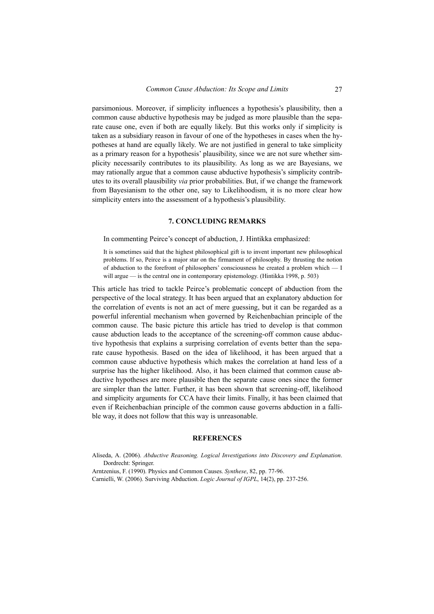parsimonious. Moreover, if simplicity influences a hypothesis's plausibility, then a common cause abductive hypothesis may be judged as more plausible than the separate cause one, even if both are equally likely. But this works only if simplicity is taken as a subsidiary reason in favour of one of the hypotheses in cases when the hypotheses at hand are equally likely. We are not justified in general to take simplicity as a primary reason for a hypothesis' plausibility, since we are not sure whether simplicity necessarily contributes to its plausibility. As long as we are Bayesians, we may rationally argue that a common cause abductive hypothesis's simplicity contributes to its overall plausibility *via* prior probabilities. But, if we change the framework from Bayesianism to the other one, say to Likelihoodism, it is no more clear how simplicity enters into the assessment of a hypothesis's plausibility.

#### **7. CONCLUDING REMARKS**

In commenting Peirce's concept of abduction, J. Hintikka emphasized:

It is sometimes said that the highest philosophical gift is to invent important new philosophical problems. If so, Peirce is a major star on the firmament of philosophy. By thrusting the notion of abduction to the forefront of philosophers' consciousness he created a problem which — I will argue — is the central one in contemporary epistemology. (Hintikka 1998, p. 503)

This article has tried to tackle Peirce's problematic concept of abduction from the perspective of the local strategy. It has been argued that an explanatory abduction for the correlation of events is not an act of mere guessing, but it can be regarded as a powerful inferential mechanism when governed by Reichenbachian principle of the common cause. The basic picture this article has tried to develop is that common cause abduction leads to the acceptance of the screening-off common cause abductive hypothesis that explains a surprising correlation of events better than the separate cause hypothesis. Based on the idea of likelihood, it has been argued that a common cause abductive hypothesis which makes the correlation at hand less of a surprise has the higher likelihood. Also, it has been claimed that common cause abductive hypotheses are more plausible then the separate cause ones since the former are simpler than the latter. Further, it has been shown that screening-off, likelihood and simplicity arguments for CCA have their limits. Finally, it has been claimed that even if Reichenbachian principle of the common cause governs abduction in a fallible way, it does not follow that this way is unreasonable.

## **REFERENCES**

|  |                      |  | Aliseda, A. (2006). Abductive Reasoning. Logical Investigations into Discovery and Explanation. |  |  |  |
|--|----------------------|--|-------------------------------------------------------------------------------------------------|--|--|--|
|  | Dordrecht: Springer. |  |                                                                                                 |  |  |  |

Arntzenius, F. (1990). Physics and Common Causes. *Synthese*, 82, pp. 77-96.

Carnielli, W. (2006). Surviving Abduction. *Logic Journal of IGPL*, 14(2), pp. 237-256.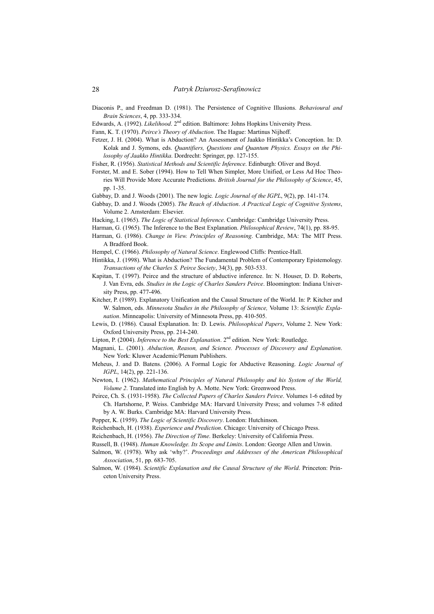- Diaconis P., and Freedman D. (1981). The Persistence of Cognitive Illusions. *Behavioural and Brain Sciences*, 4, pp. 333-334.
- Edwards, A. (1992). *Likelihood*. 2nd edition. Baltimore: Johns Hopkins University Press.
- Fann, K. T. (1970). *Peirce's Theory of Abduction*. The Hague: Martinus Nijhoff.
- Fetzer, J. H. (2004). What is Abduction? An Assessment of Jaakko Hintikka's Conception. In: D. Kolak and J. Symons, eds. *Quantifiers, Questions and Quantum Physics. Essays on the Philosophy of Jaakko Hintikka*. Dordrecht: Springer, pp. 127-155.
- Fisher, R. (1956). *Statistical Methods and Scientific Inference*. Edinburgh: Oliver and Boyd.
- Forster, M. and E. Sober (1994). How to Tell When Simpler, More Unified, or Less Ad Hoc Theories Will Provide More Accurate Predictions. *British Journal for the Philosophy of Science*, 45, pp. 1-35.
- Gabbay, D. and J. Woods (2001). The new logic*. Logic Journal of the IGPL*, 9(2), pp. 141-174.
- Gabbay, D. and J. Woods (2005). *The Reach of Abduction*. *A Practical Logic of Cognitive Systems*, Volume 2. Amsterdam: Elsevier.
- Hacking, I. (1965). *The Logic of Statistical Inference*. Cambridge: Cambridge University Press.
- Harman, G. (1965). The Inference to the Best Explanation. *Philosophical Review*, 74(1), pp. 88-95.
- Harman, G. (1986). *Change in View. Principles of Reasoning*. Cambridge, MA: The MIT Press. A Bradford Book.
- Hempel, C. (1966). *Philosophy of Natural Science*. Englewood Cliffs: Prentice-Hall.
- Hintikka, J. (1998). What is Abduction? The Fundamental Problem of Contemporary Epistemology. *Transactions of the Charles S. Peirce Society*, 34(3), pp. 503-533.
- Kapitan, T. (1997). Peirce and the structure of abductive inference. In: N. Houser, D. D. Roberts, J. Van Evra, eds. *Studies in the Logic of Charles Sanders Peirce*. Bloomington: Indiana University Press, pp. 477-496.
- Kitcher, P. (1989). Explanatory Unification and the Causal Structure of the World. In: P. Kitcher and W. Salmon, eds. *Minnesota Studies in the Philosophy of Science,* Volume 13: *Scientific Explanation*. Minneapolis: University of Minnesota Press, pp. 410-505.
- Lewis, D. (1986). Causal Explanation. In: D. Lewis. *Philosophical Papers*, Volume 2. New York: Oxford University Press, pp. 214-240.
- Lipton, P. (2004). *Inference to the Best Explanation*. 2<sup>nd</sup> edition. New York: Routledge.
- Magnani, L. (2001). *Abduction, Reason, and Science. Processes of Discovery and Explanation*. New York: Kluwer Academic/Plenum Publishers.
- Meheus, J. and D. Batens. (2006). A Formal Logic for Abductive Reasoning. *Logic Journal of IGPL*, 14(2), pp. 221-136.
- Newton, I. (1962). *Mathematical Principles of Natural Philosophy and his System of the World, Volume 2*. Translated into English by A. Motte. New York: Greenwood Press.
- Peirce, Ch. S. (1931-1958). *The Collected Papers of Charles Sanders Peirce*. Volumes 1-6 edited by Ch. Hartshorne, P. Weiss. Cambridge MA: Harvard University Press; and volumes 7-8 edited by A. W. Burks. Cambridge MA: Harvard University Press.
- Popper, K. (1959). *The Logic of Scientific Discovery*. London: Hutchinson.
- Reichenbach, H. (1938). *Experience and Prediction*. Chicago: University of Chicago Press.
- Reichenbach, H. (1956). *The Direction of Time*. Berkeley: University of California Press.
- Russell, B. (1948). *Human Knowledge. Its Scope and Limits*. London: George Allen and Unwin.
- Salmon, W. (1978). Why ask 'why?'. *Proceedings and Addresses of the American Philosophical Association*, 51, pp. 683-705.
- Salmon, W. (1984). *Scientific Explanation and the Causal Structure of the World*. Princeton: Princeton University Press.